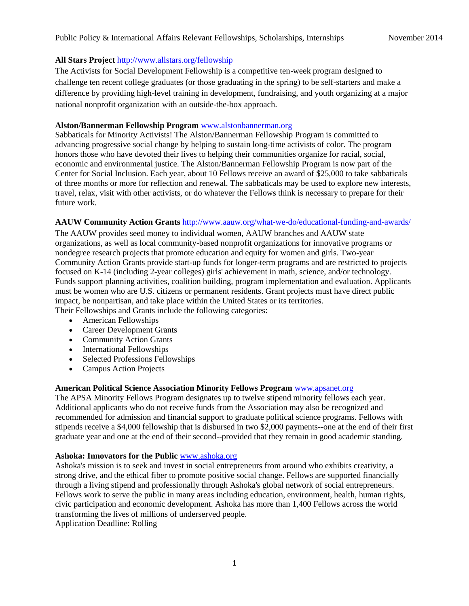# **All Stars Project** <http://www.allstars.org/fellowship>

The Activists for Social Development Fellowship is a competitive ten-week program designed to challenge ten recent college graduates (or those graduating in the spring) to be self-starters and make a difference by providing high-level training in development, fundraising, and youth organizing at a major national nonprofit organization with an outside-the-box approach.

#### **[Alston/Bannerman Fellowship Program](http://www.centerforsocialinclusion.org/leadership/alston-bannerman-sabbatical-fellows/)** [www.alstonbannerman.org](http://www.alstonbannerman.org/)

Sabbaticals for Minority Activists! The Alston/Bannerman Fellowship Program is committed to advancing progressive social change by helping to sustain long-time activists of color. The program honors those who have devoted their lives to helping their communities organize for racial, social, economic and environmental justice. The Alston/Bannerman Fellowship Program is now part of the Center for Social Inclusion. Each year, about 10 Fellows receive an award of \$25,000 to take sabbaticals of three months or more for reflection and renewal. The sabbaticals may be used to explore new interests, travel, relax, visit with other activists, or do whatever the Fellows think is necessary to prepare for their future work.

# **AAUW Community Action Grants** <http://www.aauw.org/what-we-do/educational-funding-and-awards/>

The AAUW provides seed money to individual women, AAUW branches and AAUW state organizations, as well as local community-based nonprofit organizations for innovative programs or nondegree research projects that promote education and equity for women and girls. Two-year Community Action Grants provide start-up funds for longer-term programs and are restricted to projects focused on K-14 (including 2-year colleges) girls' achievement in math, science, and/or technology. Funds support planning activities, coalition building, program implementation and evaluation. Applicants must be women who are U.S. citizens or permanent residents. Grant projects must have direct public impact, be nonpartisan, and take place within the United States or its territories. Their Fellowships and Grants include the following categories:

- American Fellowships
- Career Development Grants
- Community Action Grants
- International Fellowships
- Selected Professions Fellowships
- Campus Action Projects

#### **[American Political Science Association Minority Fellows Program](http://www.apsanet.org/content_3284.cfm)** [www.apsanet.org](http://www.apsanet.org/)

The APSA Minority Fellows Program designates up to twelve stipend minority fellows each year. Additional applicants who do not receive funds from the Association may also be recognized and recommended for admission and financial support to graduate political science programs. Fellows with stipends receive a \$4,000 fellowship that is disbursed in two \$2,000 payments--one at the end of their first graduate year and one at the end of their second--provided that they remain in good academic standing.

#### **[Ashoka: Innovators for the Public](http://www.ashoka.org/)** [www.ashoka.org](http://www.ashoka.org/)

Ashoka's mission is to seek and invest in social entrepreneurs from around who exhibits creativity, a strong drive, and the ethical fiber to promote positive social change. Fellows are supported financially through a living stipend and professionally through Ashoka's global network of social entrepreneurs. Fellows work to serve the public in many areas including education, environment, health, human rights, civic participation and economic development. Ashoka has more than 1,400 Fellows across the world transforming the lives of millions of underserved people.

Application Deadline: Rolling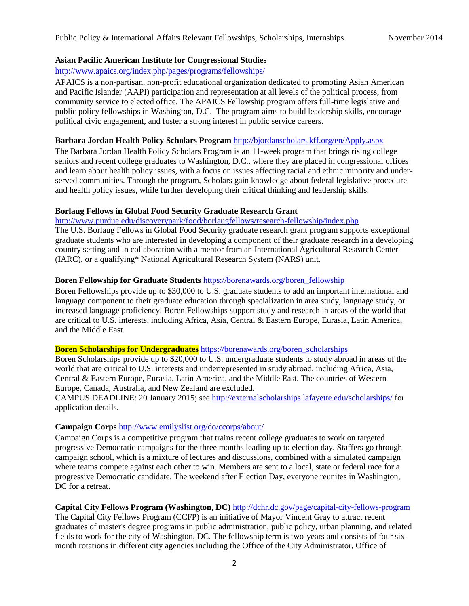#### **Asian Pacific American Institute for Congressional Studies**

#### <http://www.apaics.org/index.php/pages/programs/fellowships/>

APAICS is a non-partisan, non-profit educational organization dedicated to promoting Asian American and Pacific Islander (AAPI) participation and representation at all levels of the political process, from community service to elected office. The APAICS Fellowship program offers full-time legislative and public policy fellowships in Washington, D.C. The program aims to build leadership skills, encourage political civic engagement, and foster a strong interest in public service careers.

#### **Barbara Jordan Health Policy Scholars Program** <http://bjordanscholars.kff.org/en/Apply.aspx>

The Barbara Jordan Health Policy Scholars Program is an 11-week program that brings rising college seniors and recent college graduates to Washington, D.C., where they are placed in congressional offices and learn about health policy issues, with a focus on issues affecting racial and ethnic minority and underserved communities. Through the program, Scholars gain knowledge about federal legislative procedure and health policy issues, while further developing their critical thinking and leadership skills.

### **Borlaug Fellows in Global Food Security Graduate Research Grant**

<http://www.purdue.edu/discoverypark/food/borlaugfellows/research-fellowship/index.php>

The U.S. Borlaug Fellows in Global Food Security graduate research grant program supports exceptional graduate students who are interested in developing a component of their graduate research in a developing country setting and in collaboration with a mentor from an International Agricultural Research Center (IARC), or a qualifying\* National Agricultural Research System (NARS) unit.

### **[Boren Fellowship for Graduate Students](https://www.borenawards.org/boren_fellowship)** [https://borenawards.org/boren\\_fellowship](https://borenawards.org/boren_fellowship)

Boren Fellowships provide up to \$30,000 to U.S. graduate students to add an important international and language component to their graduate education through specialization in area study, language study, or increased language proficiency. Boren Fellowships support study and research in areas of the world that are critical to U.S. interests, including Africa, Asia, Central & Eastern Europe, Eurasia, Latin America, and the Middle East.

#### **[Boren Scholarships for Undergraduates](http://www.borenawards.org/boren_scholarship)** [https://borenawards.org/boren\\_scholarships](https://borenawards.org/boren_scholarships)

Boren Scholarships provide up to \$20,000 to U.S. undergraduate students to study abroad in areas of the world that are critical to U.S. interests and underrepresented in study abroad, including Africa, Asia, Central & Eastern Europe, Eurasia, Latin America, and the Middle East. The countries of Western Europe, Canada, Australia, and New Zealand are excluded.

CAMPUS DEADLINE: 20 January 2015; se[e http://externalscholarships.lafayette.edu/scholarships/](http://externalscholarships.lafayette.edu/scholarships/) for application details.

#### **Campaign Corps** <http://www.emilyslist.org/do/ccorps/about/>

Campaign Corps is a competitive program that trains recent college graduates to work on targeted progressive Democratic campaigns for the three months leading up to election day. Staffers go through campaign school, which is a mixture of lectures and discussions, combined with a simulated campaign where teams compete against each other to win. Members are sent to a local, state or federal race for a progressive Democratic candidate. The weekend after Election Day, everyone reunites in Washington, DC for a retreat.

# **[Capital City Fellows Program \(Washington, DC\)](http://dchr.dc.gov/page/capital-city-fellows-program)** <http://dchr.dc.gov/page/capital-city-fellows-program>

The Capital City Fellows Program (CCFP) is an initiative of Mayor Vincent Gray to attract recent graduates of master's degree programs in public administration, public policy, urban planning, and related fields to work for the city of Washington, DC. The fellowship term is two-years and consists of four sixmonth rotations in different city agencies including the Office of the City Administrator, Office of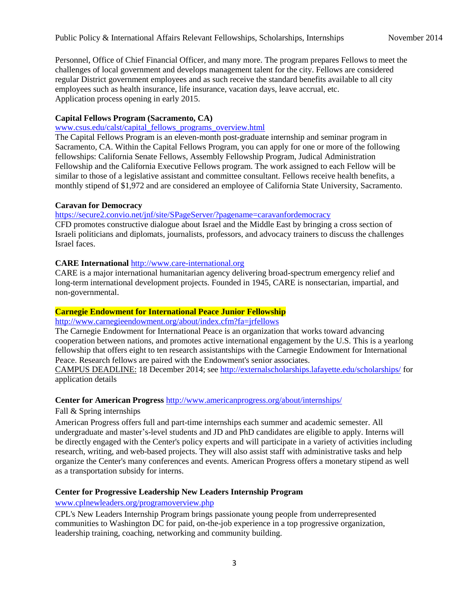Personnel, Office of Chief Financial Officer, and many more. The program prepares Fellows to meet the challenges of local government and develops management talent for the city. Fellows are considered regular District government employees and as such receive the standard benefits available to all city employees such as health insurance, life insurance, vacation days, leave accrual, etc. Application process opening in early 2015.

# **[Capital Fellows Program \(Sacramento, CA\)](http://www.csus.edu/calst/Programs/about_programs.html)**

### [www.csus.edu/calst/capital\\_fellows\\_programs\\_overview.html](http://www.csus.edu/calst/capital_fellows_programs_overview.html)

The Capital Fellows Program is an eleven-month post-graduate internship and seminar program in Sacramento, CA. Within the Capital Fellows Program, you can apply for one or more of the following fellowships: California Senate Fellows, Assembly Fellowship Program, Judical Administration Fellowship and the California Executive Fellows program. The work assigned to each Fellow will be similar to those of a legislative assistant and committee consultant. Fellows receive health benefits, a monthly stipend of \$1,972 and are considered an employee of California State University, Sacramento.

### **Caravan for Democracy**

<https://secure2.convio.net/jnf/site/SPageServer/?pagename=caravanfordemocracy>

CFD promotes constructive dialogue about Israel and the Middle East by bringing a cross section of Israeli politicians and diplomats, journalists, professors, and advocacy trainers to discuss the challenges Israel faces.

# **CARE International** [http://www.care-international.org](http://www.care-international.org/)

CARE is a major international humanitarian agency delivering broad-spectrum emergency relief and long-term international development projects. Founded in 1945, CARE is nonsectarian, impartial, and non-governmental.

#### **Carnegie Endowment for International Peace Junior Fellowship**

#### <http://www.carnegieendowment.org/about/index.cfm?fa=jrfellows>

The Carnegie Endowment for International Peace is an organization that works toward advancing cooperation between nations, and promotes active international engagement by the U.S. This is a yearlong fellowship that offers eight to ten research assistantships with the Carnegie Endowment for International Peace. Research fellows are paired with the Endowment's senior associates.

CAMPUS DEADLINE: 18 December 2014; see<http://externalscholarships.lafayette.edu/scholarships/> for application details

#### **Center for American Progress** <http://www.americanprogress.org/about/internships/>

#### Fall & Spring internships

American Progress offers full and part-time internships each summer and academic semester. All undergraduate and master's-level students and JD and PhD candidates are eligible to apply. Interns will be directly engaged with the Center's policy experts and will participate in a variety of activities including research, writing, and web-based projects. They will also assist staff with administrative tasks and help organize the Center's many conferences and events. American Progress offers a monetary stipend as well as a transportation subsidy for interns.

# **Center for Progressive Leadership New Leaders Internship Program**

#### [www.cplnewleaders.org/programoverview.php](http://www.cplnewleaders.org/programoverview.php)

CPL's New Leaders Internship Program brings passionate young people from underrepresented communities to Washington DC for paid, on-the-job experience in a top progressive organization, leadership training, coaching, networking and community building.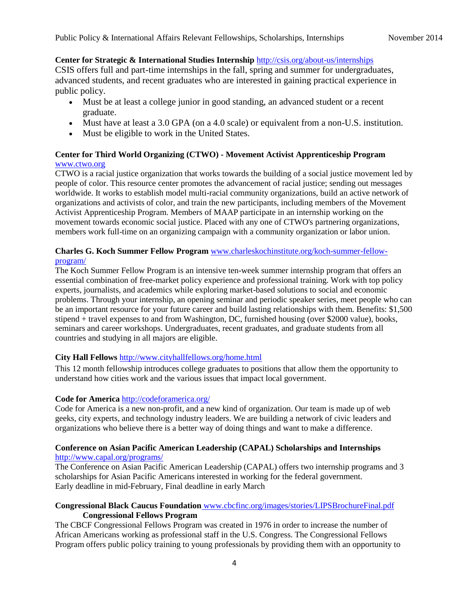# **Center for Strategic & International Studies Internship** <http://csis.org/about-us/internships>

CSIS offers full and part-time internships in the fall, spring and summer for undergraduates, advanced students, and recent graduates who are interested in gaining practical experience in public policy.

- Must be at least a college junior in good standing, an advanced student or a recent graduate.
- Must have at least a 3.0 GPA (on a 4.0 scale) or equivalent from a non-U.S. institution.
- Must be eligible to work in the United States.

# **Center for Third World Organizing (CTWO) - [Movement Activist Apprenticeship Program](http://www.ctwo.org/)** [www.ctwo.org](http://www.ctwo.org/)

CTWO is a racial justice organization that works towards the building of a social justice movement led by people of color. This resource center promotes the advancement of racial justice; sending out messages worldwide. It works to establish model multi-racial community organizations, build an active network of organizations and activists of color, and train the new participants, including members of the Movement Activist Apprenticeship Program. Members of MAAP participate in an internship working on the movement towards economic social justice. Placed with any one of CTWO's partnering organizations, members work full-time on an organizing campaign with a community organization or labor union.

# **[Charles G. Koch Summer Fellow Program](http://www.charleskochinstitute.org/koch-summer-fellow-program/)** [www.charleskochinstitute.org/koch-summer-fellow](http://www.charleskochinstitute.org/koch-summer-fellow-program/)[program/](http://www.charleskochinstitute.org/koch-summer-fellow-program/)

The Koch Summer Fellow Program is an intensive ten-week summer internship program that offers an essential combination of free-market policy experience and professional training. Work with top policy experts, journalists, and academics while exploring market-based solutions to social and economic problems. Through your internship, an opening seminar and periodic speaker series, meet people who can be an important resource for your future career and build lasting relationships with them. Benefits: \$1,500 stipend + travel expenses to and from Washington, DC, furnished housing (over \$2000 value), books, seminars and career workshops. Undergraduates, recent graduates, and graduate students from all countries and studying in all majors are eligible.

# **City Hall Fellows** <http://www.cityhallfellows.org/home.html>

This 12 month fellowship introduces college graduates to positions that allow them the opportunity to understand how cities work and the various issues that impact local government.

# **Code for America** <http://codeforamerica.org/>

Code for America is a new non-profit, and a new kind of organization. Our team is made up of web geeks, city experts, and technology industry leaders. We are building a network of civic leaders and organizations who believe there is a better way of doing things and want to make a difference.

### **Conference on Asian Pacific American Leadership (CAPAL) Scholarships and Internships** <http://www.capal.org/programs/>

The Conference on Asian Pacific American Leadership (CAPAL) offers two internship programs and 3 scholarships for Asian Pacific Americans interested in working for the federal government. Early deadline in mid-February, Final deadline in early March

# **Congressional Black Caucus Foundation** www.cbcfinc.org/images/stories/LIPSBrochureFinal.pdf **Congressional Fellows Program**

The CBCF Congressional Fellows Program was created in 1976 in order to increase the number of African Americans working as professional staff in the U.S. Congress. The Congressional Fellows Program offers public policy training to young professionals by providing them with an opportunity to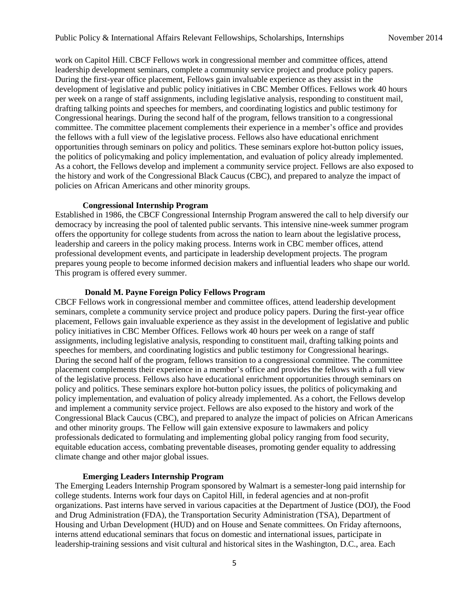work on Capitol Hill. CBCF Fellows work in congressional member and committee offices, attend leadership development seminars, complete a community service project and produce policy papers. During the first-year office placement, Fellows gain invaluable experience as they assist in the development of legislative and public policy initiatives in CBC Member Offices. Fellows work 40 hours per week on a range of staff assignments, including legislative analysis, responding to constituent mail, drafting talking points and speeches for members, and coordinating logistics and public testimony for Congressional hearings. During the second half of the program, fellows transition to a congressional committee. The committee placement complements their experience in a member's office and provides the fellows with a full view of the legislative process. Fellows also have educational enrichment opportunities through seminars on policy and politics. These seminars explore hot-button policy issues, the politics of policymaking and policy implementation, and evaluation of policy already implemented. As a cohort, the Fellows develop and implement a community service project. Fellows are also exposed to the history and work of the Congressional Black Caucus (CBC), and prepared to analyze the impact of policies on African Americans and other minority groups.

#### **[Congressional Internship Program](http://www.cbcfinc.org/congressional-internship-program)**

Established in 1986, the CBCF Congressional Internship Program answered the call to help diversify our democracy by increasing the pool of talented public servants. This intensive nine-week summer program offers the opportunity for college students from across the nation to learn about the legislative process, leadership and careers in the policy making process. Interns work in CBC member offices, attend professional development events, and participate in leadership development projects. The program prepares young people to become informed decision makers and influential leaders who shape our world. This program is offered every summer.

#### **[Donald M. Payne Foreign Policy Fellows Program](http://cbcfinc.org/donald-m-payne-foreign-policy-fellows-program.html)**

CBCF Fellows work in congressional member and committee offices, attend leadership development seminars, complete a community service project and produce policy papers. During the first-year office placement, Fellows gain invaluable experience as they assist in the development of legislative and public policy initiatives in CBC Member Offices. Fellows work 40 hours per week on a range of staff assignments, including legislative analysis, responding to constituent mail, drafting talking points and speeches for members, and coordinating logistics and public testimony for Congressional hearings. During the second half of the program, fellows transition to a congressional committee. The committee placement complements their experience in a member's office and provides the fellows with a full view of the legislative process. Fellows also have educational enrichment opportunities through seminars on policy and politics. These seminars explore hot-button policy issues, the politics of policymaking and policy implementation, and evaluation of policy already implemented. As a cohort, the Fellows develop and implement a community service project. Fellows are also exposed to the history and work of the Congressional Black Caucus (CBC), and prepared to analyze the impact of policies on African Americans and other minority groups. The Fellow will gain extensive exposure to lawmakers and policy professionals dedicated to formulating and implementing global policy ranging from food security, equitable education access, combating preventable diseases, promoting gender equality to addressing climate change and other major global issues.

#### **[Emerging Leaders Internship Program](http://www.cbcfinc.org/internships-cbcf/emerging-leaders-internship-program.html)**

The Emerging Leaders Internship Program sponsored by Walmart is a semester-long paid internship for college students. Interns work four days on Capitol Hill, in federal agencies and at non-profit organizations. Past interns have served in various capacities at the Department of Justice (DOJ), the Food and Drug Administration (FDA), the Transportation Security Administration (TSA), Department of Housing and Urban Development (HUD) and on House and Senate committees. On Friday afternoons, interns attend educational seminars that focus on domestic and international issues, participate in leadership-training sessions and visit cultural and historical sites in the Washington, D.C., area. Each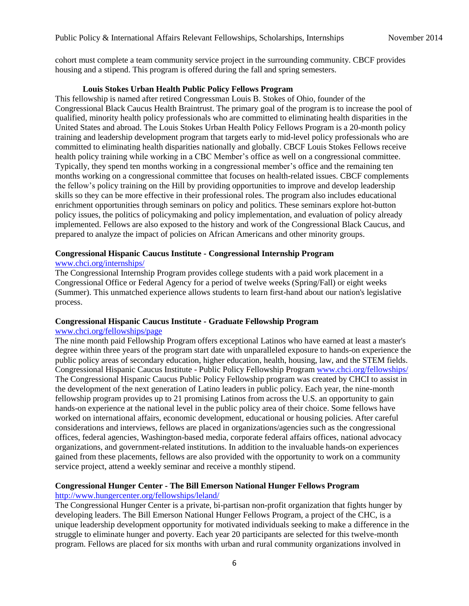cohort must complete a team community service project in the surrounding community. CBCF provides housing and a stipend. This program is offered during the fall and spring semesters.

#### **[Louis Stokes Urban Health Public Policy Fellows Program](http://www.cbcfinc.org/fellowships-cbcf/louis-stokes-urban-health-public-policy-fellows-program.html)**

This fellowship is named after retired Congressman Louis B. Stokes of Ohio, founder of the Congressional Black Caucus Health Braintrust. The primary goal of the program is to increase the pool of qualified, minority health policy professionals who are committed to eliminating health disparities in the United States and abroad. The Louis Stokes Urban Health Policy Fellows Program is a 20-month policy training and leadership development program that targets early to mid-level policy professionals who are committed to eliminating health disparities nationally and globally. CBCF Louis Stokes Fellows receive health policy training while working in a CBC Member's office as well on a congressional committee. Typically, they spend ten months working in a congressional member's office and the remaining ten months working on a congressional committee that focuses on health-related issues. CBCF complements the fellow's policy training on the Hill by providing opportunities to improve and develop leadership skills so they can be more effective in their professional roles. The program also includes educational enrichment opportunities through seminars on policy and politics. These seminars explore hot-button policy issues, the politics of policymaking and policy implementation, and evaluation of policy already implemented. Fellows are also exposed to the history and work of the Congressional Black Caucus, and prepared to analyze the impact of policies on African Americans and other minority groups.

# **[Congressional Hispanic Caucus Institute -](http://www.chci.org/internships/) Congressional Internship Program**

# [www.chci.org/internships/](http://www.chci.org/internships/)

The Congressional Internship Program provides college students with a paid work placement in a Congressional Office or Federal Agency for a period of twelve weeks (Spring/Fall) or eight weeks (Summer). This unmatched experience allows students to learn first-hand about our nation's legislative process.

#### **[Congressional Hispanic Caucus Institute -](https://www.chci.org/fellowships/page/chci-graduate-fellowship-program) Graduate Fellowship Program**

#### [www.chci.org/fellowships/page](http://www.chci.org/fellowships/page)

The nine month paid Fellowship Program offers exceptional Latinos who have earned at least a master's degree within three years of the program start date with unparalleled exposure to hands-on experience the public policy areas of secondary education, higher education, health, housing, law, and the STEM fields. [Congressional Hispanic Caucus Institute -](http://www.chci.org/fellowships/) Public Policy Fellowship Program [www.chci.org/fellowships/](http://www.chci.org/fellowships/) The Congressional Hispanic Caucus Public Policy Fellowship program was created by CHCI to assist in the development of the next generation of Latino leaders in public policy. Each year, the nine-month fellowship program provides up to 21 promising Latinos from across the U.S. an opportunity to gain hands-on experience at the national level in the public policy area of their choice. Some fellows have worked on international affairs, economic development, educational or housing policies. After careful considerations and interviews, fellows are placed in organizations/agencies such as the congressional offices, federal agencies, Washington-based media, corporate federal affairs offices, national advocacy organizations, and government-related institutions. In addition to the invaluable hands-on experiences gained from these placements, fellows are also provided with the opportunity to work on a community service project, attend a weekly seminar and receive a monthly stipend.

#### **Congressional Hunger Center - [The Bill Emerson National Hunger Fellows Program](http://www.hungercenter.org/fellowships/emerson/)** <http://www.hungercenter.org/fellowships/leland/>

# The Congressional Hunger Center is a private, bi-partisan non-profit organization that fights hunger by developing leaders. The Bill Emerson National Hunger Fellows Program, a project of the CHC, is a unique leadership development opportunity for motivated individuals seeking to make a difference in the struggle to eliminate hunger and poverty. Each year 20 participants are selected for this twelve-month program. Fellows are placed for six months with urban and rural community organizations involved in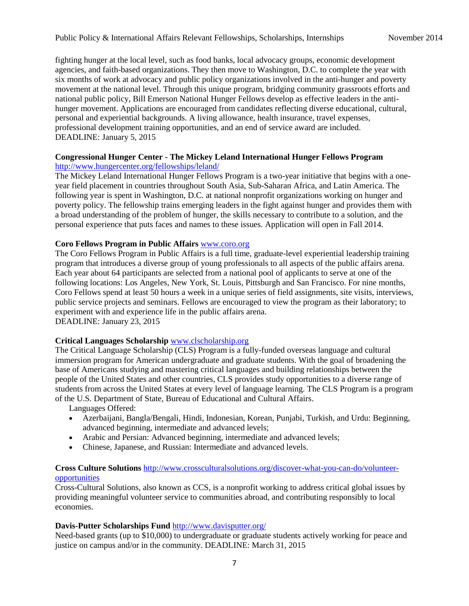fighting hunger at the local level, such as food banks, local advocacy groups, economic development agencies, and faith-based organizations. They then move to Washington, D.C. to complete the year with six months of work at advocacy and public policy organizations involved in the anti-hunger and poverty movement at the national level. Through this unique program, bridging community grassroots efforts and national public policy, Bill Emerson National Hunger Fellows develop as effective leaders in the antihunger movement. Applications are encouraged from candidates reflecting diverse educational, cultural, personal and experiential backgrounds. A living allowance, health insurance, travel expenses, professional development training opportunities, and an end of service award are included. DEADLINE: January 5, 2015

#### **Congressional Hunger Center - [The Mickey Leland International Hunger Fellows Program](http://www.hungercenter.org/fellowships/leland/)** <http://www.hungercenter.org/fellowships/leland/>

The Mickey Leland International Hunger Fellows Program is a two-year initiative that begins with a oneyear field placement in countries throughout South Asia, Sub-Saharan Africa, and Latin America. The following year is spent in Washington, D.C. at national nonprofit organizations working on hunger and poverty policy. The fellowship trains emerging leaders in the fight against hunger and provides them with a broad understanding of the problem of hunger, the skills necessary to contribute to a solution, and the personal experience that puts faces and names to these issues. Application will open in Fall 2014.

### **[Coro Fellows Program in Public Affairs](http://www.coro.org/Coro-Fellows-Program)** [www.coro.org](http://www.coro.org/)

The Coro Fellows Program in Public Affairs is a full time, graduate-level experiential leadership training program that introduces a diverse group of young professionals to all aspects of the public affairs arena. Each year about 64 participants are selected from a national pool of applicants to serve at one of the following locations: Los Angeles, New York, St. Louis, Pittsburgh and San Francisco. For nine months, Coro Fellows spend at least 50 hours a week in a unique series of field assignments, site visits, interviews, public service projects and seminars. Fellows are encouraged to view the program as their laboratory; to experiment with and experience life in the public affairs arena. DEADLINE: January 23, 2015

#### **Critical Languages Scholarship** [www.clscholarship.org](http://www.clscholarship.org/)

The Critical Language Scholarship (CLS) Program is a fully-funded overseas language and cultural immersion program for American undergraduate and graduate students. With the goal of broadening the base of Americans studying and mastering critical languages and building relationships between the people of the United States and other countries, CLS provides study opportunities to a diverse range of students from across the United States at every level of language learning. The CLS Program is a program of the [U.S. Department of State, Bureau of Educational and Cultural Affairs.](http://eca.state.gov/)

Languages Offered:

- Azerbaijani, Bangla/Bengali, Hindi, Indonesian, Korean, Punjabi, Turkish, and Urdu: Beginning, advanced beginning, intermediate and advanced levels;
- Arabic and Persian: Advanced beginning, intermediate and advanced levels;
- Chinese, Japanese, and Russian: Intermediate and advanced levels.

### **Cross Culture Solutions** [http://www.crossculturalsolutions.org/discover-what-you-can-do/volunteer](http://www.crossculturalsolutions.org/discover-what-you-can-do/volunteer-opportunities)[opportunities](http://www.crossculturalsolutions.org/discover-what-you-can-do/volunteer-opportunities)

Cross-Cultural Solutions, also known as CCS, is a nonprofit working to address critical global issues by providing meaningful volunteer service to communities abroad, and contributing responsibly to local economies.

# **Davis-Putter Scholarships Fund** <http://www.davisputter.org/>

Need-based grants (up to \$10,000) to undergraduate or graduate students actively working for peace and justice on campus and/or in the community. DEADLINE: March 31, 2015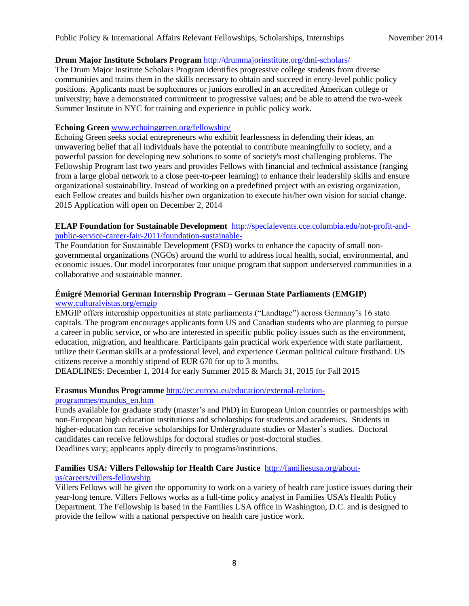# **Drum Major Institute Scholars Program** <http://drummajorinstitute.org/dmi-scholars/>

The Drum Major Institute Scholars Program identifies progressive college students from diverse communities and trains them in the skills necessary to obtain and succeed in entry-level public policy positions. Applicants must be sophomores or juniors enrolled in an accredited American college or university; have a demonstrated commitment to progressive values; and be able to attend the two-week Summer Institute in NYC for training and experience in public policy work.

### **[Echoing Green](http://www.echoinggreen.org/fellowship/apply)** [www.echoinggreen.org/fellowship/](http://www.echoinggreen.org/fellowship/)

Echoing Green seeks social entrepreneurs who exhibit fearlessness in defending their ideas, an unwavering belief that all individuals have the potential to contribute meaningfully to society, and a powerful passion for developing new solutions to some of society's most challenging problems. The Fellowship Program last two years and provides Fellows with financial and technical assistance (ranging from a large global network to a close peer-to-peer learning) to enhance their leadership skills and ensure organizational sustainability. Instead of working on a predefined project with an existing organization, each Fellow creates and builds his/her own organization to execute his/her own vision for social change. 2015 Application will open on December 2, 2014

# **ELAP Foundation for Sustainable Development** [http://specialevents.cce.columbia.edu/not-profit-and](http://specialevents.cce.columbia.edu/not-profit-and-public-service-career-fair-2011/foundation-sustainable-)[public-service-career-fair-2011/foundation-sustainable-](http://specialevents.cce.columbia.edu/not-profit-and-public-service-career-fair-2011/foundation-sustainable-)

The Foundation for Sustainable Development (FSD) works to enhance the capacity of small nongovernmental organizations (NGOs) around the world to address local health, social, environmental, and economic issues. Our model incorporates four unique program that support underserved communities in a collaborative and sustainable manner.

# **Émigré Memorial German Internship Program – German State Parliaments (EMGIP)** [www.culturalvistas.org/emgip](http://www.culturalvistas.org/emgip)

EMGIP offers internship opportunities at state parliaments ("Landtage") across Germany's 16 state capitals. The program encourages applicants form US and Canadian students who are planning to pursue a career in public service, or who are interested in specific public policy issues such as the environment, education, migration, and healthcare. Participants gain practical work experience with state parliament, utilize their German skills at a professional level, and experience German political culture firsthand. US citizens receive a monthly stipend of EUR 670 for up to 3 months.

DEADLINES: December 1, 2014 for early Summer 2015 & March 31, 2015 for Fall 2015

# **Erasmus Mundus Programme** [http://ec.europa.eu/education/external-relation-](http://ec.europa.eu/education/external-relation-programmes/mundus_en.htm)

#### [programmes/mundus\\_en.htm](http://ec.europa.eu/education/external-relation-programmes/mundus_en.htm)

Funds available for graduate study (master's and PhD) in European Union countries or partnerships with non-European high education institutions and scholarships for students and academics. Students in higher-education can receive scholarships for Undergraduate studies or Master's studies. Doctoral candidates can receive fellowships for doctoral studies or post-doctoral studies. Deadlines vary; applicants apply directly to programs/institutions.

# **Families USA: Villers Fellowship for Health Care Justice** [http://familiesusa.org/about-](http://familiesusa.org/about-us/careers/villers-fellowship)

# [us/careers/villers-fellowship](http://familiesusa.org/about-us/careers/villers-fellowship)

Villers Fellows will be given the opportunity to work on a variety of health care justice issues during their year-long tenure. Villers Fellows works as a full-time policy analyst in Families USA's Health Policy Department. The Fellowship is based in the Families USA office in Washington, D.C. and is designed to provide the fellow with a national perspective on health care justice work.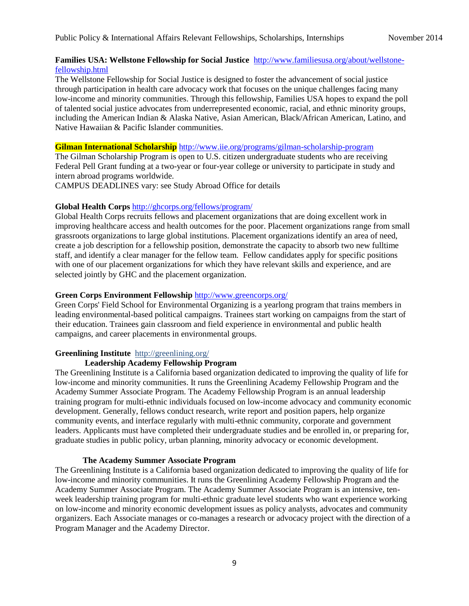#### **Families USA: Wellstone Fellowship for Social Justice** [http://www.familiesusa.org/about/wellstone](http://www.familiesusa.org/about/wellstone-fellowship.html)[fellowship.html](http://www.familiesusa.org/about/wellstone-fellowship.html)

The Wellstone Fellowship for Social Justice is designed to foster the advancement of social justice through participation in health care advocacy work that focuses on the unique challenges facing many low-income and minority communities. Through this fellowship, Families USA hopes to expand the poll of talented social justice advocates from underrepresented economic, racial, and ethnic minority groups, including the American Indian & Alaska Native, Asian American, Black/African American, Latino, and Native Hawaiian & Pacific Islander communities.

#### **Gilman International Scholarship** <http://www.iie.org/programs/gilman-scholarship-program>

The Gilman Scholarship Program is open to U.S. citizen undergraduate students who are receiving Federal Pell Grant funding at a two-year or four-year college or university to participate in study and intern abroad programs worldwide.

CAMPUS DEADLINES vary: see Study Abroad Office for details

### **Global Health Corps** <http://ghcorps.org/fellows/program/>

Global Health Corps recruits fellows and placement organizations that are doing excellent work in improving healthcare access and health outcomes for the poor. Placement organizations range from small grassroots organizations to large global institutions. Placement organizations identify an area of need, create a job description for a fellowship position, demonstrate the capacity to absorb two new fulltime staff, and identify a clear manager for the fellow team. Fellow candidates apply for specific positions with one of our placement organizations for which they have relevant skills and experience, and are selected jointly by GHC and the placement organization.

### **Green Corps Environment Fellowship** <http://www.greencorps.org/>

Green Corps' Field School for Environmental Organizing is a yearlong program that trains members in leading environmental-based political campaigns. Trainees start working on campaigns from the start of their education. Trainees gain classroom and field experience in environmental and public health campaigns, and career placements in environmental groups.

#### **[Greenlining Institute](file://samba.lafayette.edu/shared/doc/Scholarships%20and%20Fellowships/2014-2015%20Application%20Cycle/Greenlining%20Institute%20%20http:/greenlining.org/%20Leadership%20Academy%20Fellowship%20Program)** http://greenlining.org/

# **[Leadership Academy Fellowship Program](file://samba.lafayette.edu/shared/doc/Scholarships%20and%20Fellowships/2014-2015%20Application%20Cycle/Greenlining%20Institute%20%20http:/greenlining.org/%20Leadership%20Academy%20Fellowship%20Program)**

The Greenlining Institute is a California based organization dedicated to improving the quality of life for low-income and minority communities. It runs the Greenlining Academy Fellowship Program and the Academy Summer Associate Program. The Academy Fellowship Program is an annual leadership training program for multi-ethnic individuals focused on low-income advocacy and community economic development. Generally, fellows conduct research, write report and position papers, help organize community events, and interface regularly with multi-ethnic community, corporate and government leaders. Applicants must have completed their undergraduate studies and be enrolled in, or preparing for, graduate studies in public policy, urban planning, minority advocacy or economic development.

#### **[The Academy Summer Associate Program](http://greenlining.org/leadership-academy/programs/summer-associate-program/)**

The Greenlining Institute is a California based organization dedicated to improving the quality of life for low-income and minority communities. It runs the Greenlining Academy Fellowship Program and the Academy Summer Associate Program. The Academy Summer Associate Program is an intensive, tenweek leadership training program for multi-ethnic graduate level students who want experience working on low-income and minority economic development issues as policy analysts, advocates and community organizers. Each Associate manages or co-manages a research or advocacy project with the direction of a Program Manager and the Academy Director.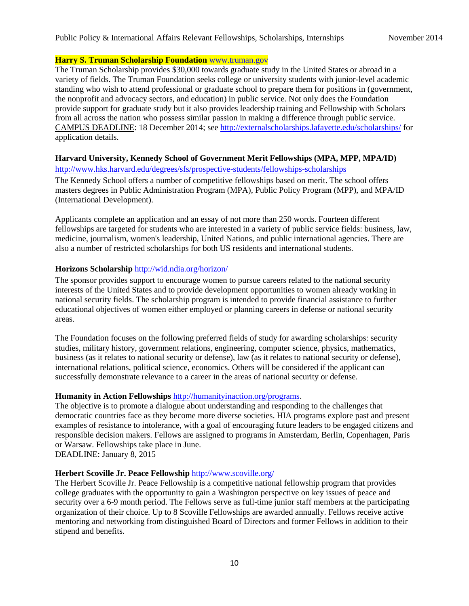#### **[Harry S. Truman Scholarship Foundation](http://www.truman.gov/)** [www.truman.gov](http://www.truman.gov/)

The Truman Scholarship provides \$30,000 towards graduate study in the United States or abroad in a variety of fields. The Truman Foundation seeks college or university students with junior-level academic standing who wish to attend professional or graduate school to prepare them for positions in (government, the nonprofit and advocacy sectors, and education) in public service. Not only does the Foundation provide support for graduate study but it also provides leadership training and Fellowship with Scholars from all across the nation who possess similar passion in making a difference through public service. CAMPUS DEADLINE: 18 December 2014; se[e http://externalscholarships.lafayette.edu/scholarships/](http://externalscholarships.lafayette.edu/scholarships/) for application details.

### **Harvard University, Kennedy School of Government Merit Fellowships (MPA, MPP, MPA/ID)**

<http://www.hks.harvard.edu/degrees/sfs/prospective-students/fellowships-scholarships>

The Kennedy School offers a number of competitive fellowships based on merit. The school offers masters degrees in Public Administration Program (MPA), Public Policy Program (MPP), and MPA/ID (International Development).

Applicants complete an application and an essay of not more than 250 words. Fourteen different fellowships are targeted for students who are interested in a variety of public service fields: business, law, medicine, journalism, women's leadership, United Nations, and public international agencies. There are also a number of restricted scholarships for both US residents and international students.

# **Horizons Scholarship** <http://wid.ndia.org/horizon/>

The sponsor provides support to encourage women to pursue careers related to the national security interests of the United States and to provide development opportunities to women already working in national security fields. The scholarship program is intended to provide financial assistance to further educational objectives of women either employed or planning careers in defense or national security areas.

The Foundation focuses on the following preferred fields of study for awarding scholarships: security studies, military history, government relations, engineering, computer science, physics, mathematics, business (as it relates to national security or defense), law (as it relates to national security or defense), international relations, political science, economics. Others will be considered if the applicant can successfully demonstrate relevance to a career in the areas of national security or defense.

#### **Humanity in Action Fellowships** [http://humanityinaction.org/programs.](http://humanityinaction.org/programs)

The objective is to promote a dialogue about understanding and responding to the challenges that democratic countries face as they become more diverse societies. HIA programs explore past and present examples of resistance to intolerance, with a goal of encouraging future leaders to be engaged citizens and responsible decision makers. Fellows are assigned to programs in Amsterdam, Berlin, Copenhagen, Paris or Warsaw. Fellowships take place in June.

DEADLINE: January 8, 2015

# **Herbert Scoville Jr. Peace Fellowship** <http://www.scoville.org/>

The Herbert Scoville Jr. Peace Fellowship is a competitive national fellowship program that provides college graduates with the opportunity to gain a Washington perspective on key issues of peace and security over a 6-9 month period. The Fellows serve as full-time junior staff members at the participating organization of their choice. Up to 8 Scoville Fellowships are awarded annually. Fellows receive active mentoring and networking from distinguished Board of Directors and former Fellows in addition to their stipend and benefits.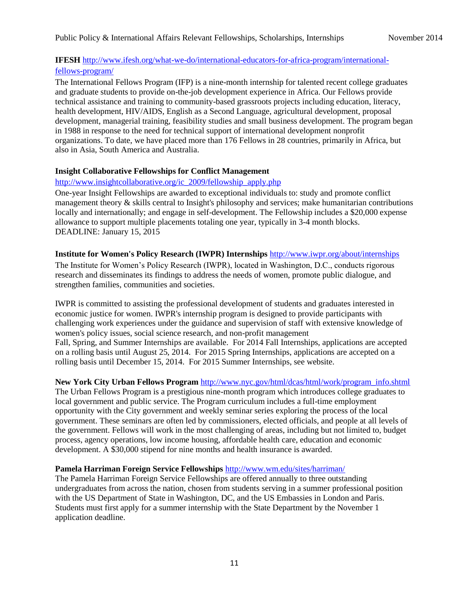# **IFESH** [http://www.ifesh.org/what-we-do/international-educators-for-africa-program/international-](http://www.ifesh.org/what-we-do/international-educators-for-africa-program/international-fellows-program/)

# [fellows-program/](http://www.ifesh.org/what-we-do/international-educators-for-africa-program/international-fellows-program/)

The International Fellows Program (IFP) is a nine-month internship for talented recent college graduates and graduate students to provide on-the-job development experience in Africa. Our Fellows provide technical assistance and training to community-based grassroots projects including education, literacy, health development, HIV/AIDS, English as a Second Language, agricultural development, proposal development, managerial training, feasibility studies and small business development. The program began in 1988 in response to the need for technical support of international development nonprofit organizations. To date, we have placed more than 176 Fellows in 28 countries, primarily in Africa, but also in Asia, South America and Australia.

# **Insight Collaborative Fellowships for Conflict Management**

# [http://www.insightcollaborative.org/ic\\_2009/fellowship\\_apply.php](http://www.insightcollaborative.org/ic_2009/fellowship_apply.php)

One-year Insight Fellowships are awarded to exceptional individuals to: study and promote conflict management theory & skills central to Insight's philosophy and services; make humanitarian contributions locally and internationally; and engage in self-development. The Fellowship includes a \$20,000 expense allowance to support multiple placements totaling one year, typically in 3-4 month blocks. DEADLINE: January 15, 2015

### **Institute for Women's Policy Research (IWPR) Internships** <http://www.iwpr.org/about/internships>

The Institute for Women's Policy Research (IWPR), located in Washington, D.C., conducts rigorous research and disseminates its findings to address the needs of women, promote public dialogue, and strengthen families, communities and societies.

IWPR is committed to assisting the professional development of students and graduates interested in economic justice for women. IWPR's internship program is designed to provide participants with challenging work experiences under the guidance and supervision of staff with extensive knowledge of women's policy issues, social science research, and non-profit management Fall, Spring, and Summer Internships are available. For 2014 Fall Internships, applications are accepted on a rolling basis until August 25, 2014. For 2015 Spring Internships, applications are accepted on a rolling basis until December 15, 2014. For 2015 Summer Internships, see website.

# **[New York City Urban Fellows Program](http://www.nyc.gov/html/dcas/html/work/urbanfellows.shtml)** [http://www.nyc.gov/html/dcas/html/work/program\\_info.shtml](http://www.nyc.gov/html/dcas/html/work/program_info.shtml)

The Urban Fellows Program is a prestigious nine-month program which introduces college graduates to local government and public service. The Program curriculum includes a full-time employment opportunity with the City government and weekly seminar series exploring the process of the local government. These seminars are often led by commissioners, elected officials, and people at all levels of the government. Fellows will work in the most challenging of areas, including but not limited to, budget process, agency operations, low income housing, affordable health care, education and economic development. A \$30,000 stipend for nine months and health insurance is awarded.

# **Pamela Harriman Foreign Service Fellowships** <http://www.wm.edu/sites/harriman/>

The Pamela Harriman Foreign Service Fellowships are offered annually to three outstanding undergraduates from across the nation, chosen from students serving in a summer professional position with the US Department of State in Washington, DC, and the US Embassies in London and Paris. Students must first apply for a summer internship with the State Department by the November 1 application deadline.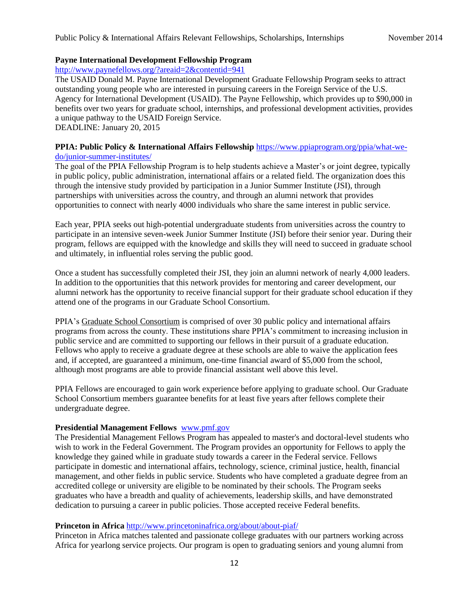#### **Payne International Development Fellowship Program**

<http://www.paynefellows.org/?areaid=2&contentid=941>

The USAID Donald M. Payne International Development Graduate Fellowship Program seeks to attract outstanding young people who are interested in pursuing careers in the Foreign Service of the U.S. Agency for International Development (USAID). The Payne Fellowship, which provides up to \$90,000 in benefits over two years for graduate school, internships, and professional development activities, provides a unique pathway to the USAID Foreign Service. DEADLINE: January 20, 2015

#### **PPIA: Public Policy & International Affairs Fellowship** [https://www.ppiaprogram.org/ppia/what-we](https://www.ppiaprogram.org/ppia/what-we-do/junior-summer-institutes/)[do/junior-summer-institutes/](https://www.ppiaprogram.org/ppia/what-we-do/junior-summer-institutes/)

The goal of the PPIA Fellowship Program is to help students achieve a Master's or joint degree, typically in public policy, public administration, international affairs or a related field. The organization does this through the intensive study provided by participation in a Junior Summer Institute (JSI), through partnerships with universities across the country, and through an alumni network that provides opportunities to connect with nearly 4000 individuals who share the same interest in public service.

Each year, PPIA seeks out high-potential undergraduate students from universities across the country to participate in an intensive seven-week Junior Summer Institute (JSI) before their senior year. During their program, fellows are equipped with the knowledge and skills they will need to succeed in graduate school and ultimately, in influential roles serving the public good.

Once a student has successfully completed their JSI, they join an alumni network of nearly 4,000 leaders. In addition to the opportunities that this network provides for mentoring and career development, our alumni network has the opportunity to receive financial support for their graduate school education if they attend one of the programs in our Graduate School Consortium.

PPIA's [Graduate School Consortium](http://www.ppiaprogram.org/ppia/partners/graduate-school-consortium/) is comprised of over 30 public policy and international affairs programs from across the county. These institutions share PPIA's commitment to increasing inclusion in public service and are committed to supporting our fellows in their pursuit of a graduate education. Fellows who apply to receive a graduate degree at these schools are able to waive the application fees and, if accepted, are guaranteed a minimum, one-time financial award of \$5,000 from the school, although most programs are able to provide financial assistant well above this level.

PPIA Fellows are encouraged to gain work experience before applying to graduate school. Our Graduate School Consortium members guarantee benefits for at least five years after fellows complete their undergraduate degree.

#### **[Presidential Management Fellows](http://www.pmf.gov/)** [www.pmf.gov](http://www.pmf.gov/)

The Presidential Management Fellows Program has appealed to master's and doctoral-level students who wish to work in the Federal Government. The Program provides an opportunity for Fellows to apply the knowledge they gained while in graduate study towards a career in the Federal service. Fellows participate in domestic and international affairs, technology, science, criminal justice, health, financial management, and other fields in public service. Students who have completed a graduate degree from an accredited college or university are eligible to be nominated by their schools. The Program seeks graduates who have a breadth and quality of achievements, leadership skills, and have demonstrated dedication to pursuing a career in public policies. Those accepted receive Federal benefits.

#### **Princeton in Africa** <http://www.princetoninafrica.org/about/about-piaf/>

Princeton in Africa matches talented and passionate college graduates with our partners working across Africa for yearlong service projects. Our program is open to graduating seniors and young alumni from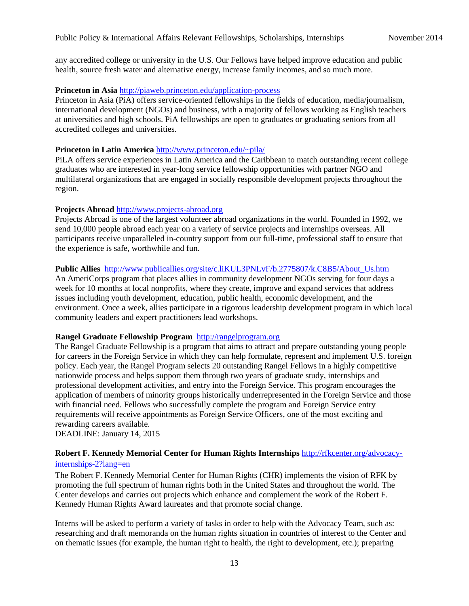any accredited college or university in the U.S. Our Fellows have helped improve education and public health, source fresh water and alternative energy, increase family incomes, and so much more.

#### **Princeton in Asia** <http://piaweb.princeton.edu/application-process>

Princeton in Asia (PiA) offers service-oriented fellowships in the fields of education, media/journalism, international development (NGOs) and business, with a majority of fellows working as English teachers at universities and high schools. PiA fellowships are open to graduates or graduating seniors from all accredited colleges and universities.

#### **Princeton in Latin America** <http://www.princeton.edu/~pila/>

PiLA offers service experiences in Latin America and the Caribbean to match outstanding recent college graduates who are interested in year-long service fellowship opportunities with partner NGO and multilateral organizations that are engaged in socially responsible development projects throughout the region.

### **Projects Abroad** [http://www.projects-abroad.org](http://www.projects-abroad.org/)

Projects Abroad is one of the largest volunteer abroad organizations in the world. Founded in 1992, we send 10,000 people abroad each year on a variety of service projects and internships overseas. All participants receive unparalleled in-country support from our full-time, professional staff to ensure that the experience is safe, worthwhile and fun.

### **Public Allies** [http://www.publicallies.org/site/c.liKUL3PNLvF/b.2775807/k.C8B5/About\\_Us.htm](http://www.publicallies.org/site/c.liKUL3PNLvF/b.2775807/k.C8B5/About_Us.htm)

An AmeriCorps program that places allies in community development NGOs serving for four days a week for 10 months at local nonprofits, where they create, improve and expand services that address issues including youth development, education, public health, economic development, and the environment. Once a week, allies participate in a rigorous leadership development program in which local community leaders and expert practitioners lead workshops.

#### **[Rangel Graduate Fellowship Program](http://rangelprogram.org/index.cfm?session.areaid=2&contentid=672&typeid=CBRIAP92223)** [http://rangelprogram.org](http://rangelprogram.org/)

The Rangel Graduate Fellowship is a program that aims to attract and prepare outstanding young people for careers in the Foreign Service in which they can help formulate, represent and implement U.S. foreign policy. Each year, the Rangel Program selects 20 outstanding Rangel Fellows in a highly competitive nationwide process and helps support them through two years of graduate study, internships and professional development activities, and entry into the Foreign Service. This program encourages the application of members of minority groups historically underrepresented in the Foreign Service and those with financial need. Fellows who successfully complete the program and Foreign Service entry requirements will receive appointments as Foreign Service Officers, one of the most exciting and rewarding careers available.

DEADLINE: January 14, 2015

# **Robert F. Kennedy Memorial Center for Human Rights Internships** [http://rfkcenter.org/advocacy-](http://rfkcenter.org/advocacy-internships-2?lang=en)

# [internships-2?lang=en](http://rfkcenter.org/advocacy-internships-2?lang=en)

The Robert F. Kennedy Memorial Center for Human Rights (CHR) implements the vision of RFK by promoting the full spectrum of human rights both in the United States and throughout the world. The Center develops and carries out projects which enhance and complement the work of the Robert F. Kennedy Human Rights Award laureates and that promote social change.

Interns will be asked to perform a variety of tasks in order to help with the Advocacy Team, such as: researching and draft memoranda on the human rights situation in countries of interest to the Center and on thematic issues (for example, the human right to health, the right to development, etc.); preparing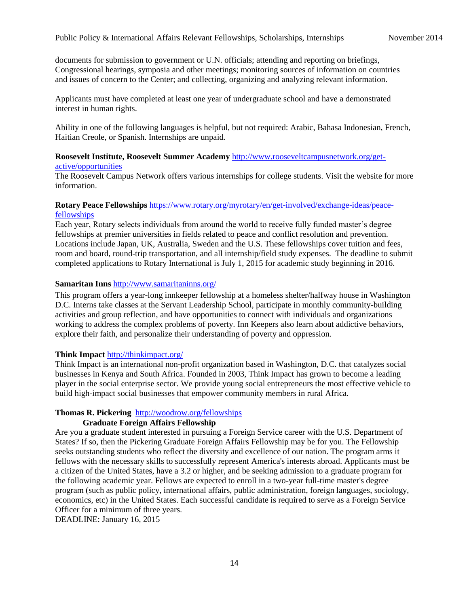documents for submission to government or U.N. officials; attending and reporting on briefings, Congressional hearings, symposia and other meetings; monitoring sources of information on countries and issues of concern to the Center; and collecting, organizing and analyzing relevant information.

Applicants must have completed at least one year of undergraduate school and have a demonstrated interest in human rights.

Ability in one of the following languages is helpful, but not required: Arabic, Bahasa Indonesian, French, Haitian Creole, or Spanish. Internships are unpaid.

#### **Roosevelt Institute, Roosevelt Summer Academy** [http://www.rooseveltcampusnetwork.org/get](http://www.rooseveltcampusnetwork.org/get-active/opportunities)[active/opportunities](http://www.rooseveltcampusnetwork.org/get-active/opportunities)

The Roosevelt Campus Network offers various internships for college students. Visit the website for more information.

#### **Rotary Peace Fellowships** [https://www.rotary.org/myrotary/en/get-involved/exchange-ideas/peace](https://www.rotary.org/myrotary/en/get-involved/exchange-ideas/peace-fellowships)[fellowships](https://www.rotary.org/myrotary/en/get-involved/exchange-ideas/peace-fellowships)

Each year, Rotary selects individuals from around the world to receive fully funded master's degree fellowships at premier universities in fields related to peace and conflict resolution and prevention. Locations include Japan, UK, Australia, Sweden and the U.S. These fellowships cover tuition and fees, room and board, round-trip transportation, and all internship/field study expenses. The deadline to submit completed applications to Rotary International is July 1, 2015 for academic study beginning in 2016.

### **Samaritan Inns** <http://www.samaritaninns.org/>

This program offers a year-long innkeeper fellowship at a homeless shelter/halfway house in Washington D.C. Interns take classes at the Servant Leadership School, participate in monthly community-building activities and group reflection, and have opportunities to connect with individuals and organizations working to address the complex problems of poverty. Inn Keepers also learn about addictive behaviors, explore their faith, and personalize their understanding of poverty and oppression.

#### **Think Impact** <http://thinkimpact.org/>

Think Impact is an international non-profit organization based in Washington, D.C. that catalyzes social businesses in Kenya and South Africa. Founded in 2003, Think Impact has grown to become a leading player in the social enterprise sector. We provide young social entrepreneurs the most effective vehicle to build high-impact social businesses that empower community members in rural Africa.

#### **[Thomas R. Pickering](http://woodrow.org/fellowships/pickering/)** <http://woodrow.org/fellowships>

### **Graduate Foreign Affairs Fellowship**

Are you a graduate student interested in pursuing a Foreign Service career with the U.S. Department of States? If so, then the Pickering Graduate Foreign Affairs Fellowship may be for you. The Fellowship seeks outstanding students who reflect the diversity and excellence of our nation. The program arms it fellows with the necessary skills to successfully represent America's interests abroad. Applicants must be a citizen of the United States, have a 3.2 or higher, and be seeking admission to a graduate program for the following academic year. Fellows are expected to enroll in a two-year full-time master's degree program (such as public policy, international affairs, public administration, foreign languages, sociology, economics, etc) in the United States. Each successful candidate is required to serve as a Foreign Service Officer for a minimum of three years.

DEADLINE: January 16, 2015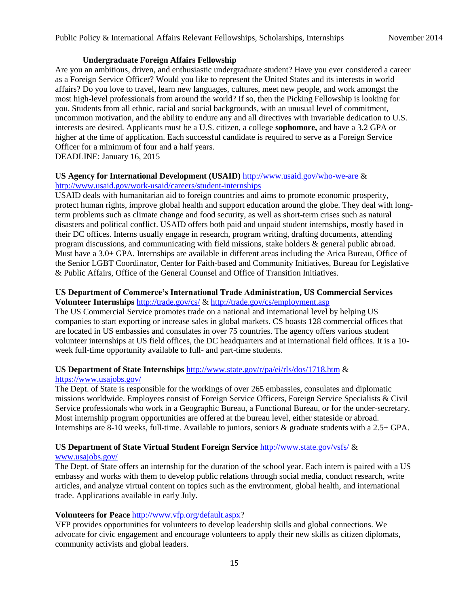#### **[Undergraduate Foreign Affairs Fellowship](http://woodrow.org/fellowships/pickering/)**

Are you an ambitious, driven, and enthusiastic undergraduate student? Have you ever considered a career as a Foreign Service Officer? Would you like to represent the United States and its interests in world affairs? Do you love to travel, learn new languages, cultures, meet new people, and work amongst the most high-level professionals from around the world? If so, then the Picking Fellowship is looking for you. Students from all ethnic, racial and social backgrounds, with an unusual level of commitment, uncommon motivation, and the ability to endure any and all directives with invariable dedication to U.S. interests are desired. Applicants must be a U.S. citizen, a college **sophomore,** and have a 3.2 GPA or higher at the time of application. Each successful candidate is required to serve as a Foreign Service Officer for a minimum of four and a half years.

# DEADLINE: January 16, 2015

#### **US Agency for International Development (USAID)** <http://www.usaid.gov/who-we-are> & <http://www.usaid.gov/work-usaid/careers/student-internships>

USAID deals with humanitarian aid to foreign countries and aims to promote economic prosperity, protect human rights, improve global health and support education around the globe. They deal with longterm problems such as climate change and food security, as well as short-term crises such as natural disasters and political conflict. USAID offers both paid and unpaid student internships, mostly based in their DC offices. Interns usually engage in research, program writing, drafting documents, attending program discussions, and communicating with field missions, stake holders & general public abroad. Must have a 3.0+ GPA. Internships are available in different areas including the Arica Bureau, Office of the Senior LGBT Coordinator, Center for Faith-based and Community Initiatives, Bureau for Legislative & Public Affairs, Office of the General Counsel and Office of Transition Initiatives.

#### **US Department of Commerce's International Trade Administration, US Commercial Services Volunteer Internships** <http://trade.gov/cs/> &<http://trade.gov/cs/employment.asp>

The US Commercial Service promotes trade on a national and international level by helping US companies to start exporting or increase sales in global markets. CS boasts 128 commercial offices that are located in US embassies and consulates in over 75 countries. The agency offers various student volunteer internships at US field offices, the DC headquarters and at international field offices. It is a 10 week full-time opportunity available to full- and part-time students.

#### **US Department of State Internships** <http://www.state.gov/r/pa/ei/rls/dos/1718.htm> & <https://www.usajobs.gov/>

The Dept. of State is responsible for the workings of over 265 embassies, consulates and diplomatic missions worldwide. Employees consist of Foreign Service Officers, Foreign Service Specialists & Civil Service professionals who work in a Geographic Bureau, a Functional Bureau, or for the under-secretary. Most internship program opportunities are offered at the bureau level, either stateside or abroad. Internships are 8-10 weeks, full-time. Available to juniors, seniors & graduate students with a 2.5+ GPA.

# **US Department of State Virtual Student Foreign Service** <http://www.state.gov/vsfs/> &

# [www.usajobs.gov/](http://www.usajobs.gov/)

The Dept. of State offers an internship for the duration of the school year. Each intern is paired with a US embassy and works with them to develop public relations through social media, conduct research, write articles, and analyze virtual content on topics such as the environment, global health, and international trade. Applications available in early July.

#### **Volunteers for Peace** [http://www.vfp.org/default.aspx?](http://www.vfp.org/default.aspx)

VFP provides opportunities for volunteers to develop leadership skills and global connections. We advocate for civic engagement and encourage volunteers to apply their new skills as citizen diplomats, community activists and global leaders.